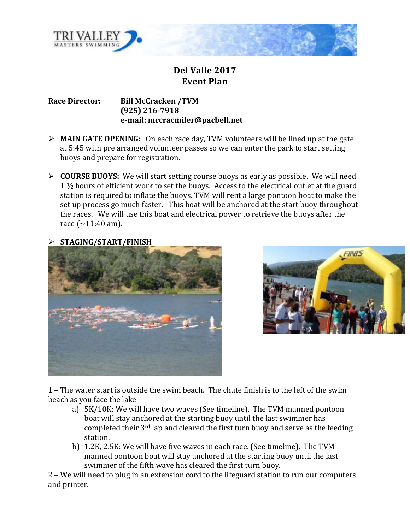

## **Del Valle 2017 Event Plan**

**Race Director: Bill McCracken /TVM (925) 216-7918 e-mail: mccracmiler@pacbell.net**

- **MAIN GATE OPENING:** On each race day, TVM volunteers will be lined up at the gate at 5:45 with pre arranged volunteer passes so we can enter the park to start setting buoys and prepare for registration.
- **COURSE BUOYS:** We will start setting course buoys as early as possible. We will need 1 ½ hours of efficient work to set the buoys. Access to the electrical outlet at the guard station is required to inflate the buoys. TVM will rent a large pontoon boat to make the set up process go much faster. This boat will be anchored at the start buoy throughout the races. We will use this boat and electrical power to retrieve the buoys after the race  $({\sim}11:40~{\rm am})$ .







1 – The water start is outside the swim beach. The chute finish is to the left of the swim beach as you face the lake

- a) 5K/10K: We will have two waves (See timeline). The TVM manned pontoon boat will stay anchored at the starting buoy until the last swimmer has completed their 3rd lap and cleared the first turn buoy and serve as the feeding station.
- b) 1.2K, 2.5K: We will have five waves in each race. (See timeline). The TVM manned pontoon boat will stay anchored at the starting buoy until the last swimmer of the fifth wave has cleared the first turn buoy.

2 – We will need to plug in an extension cord to the lifeguard station to run our computers and printer.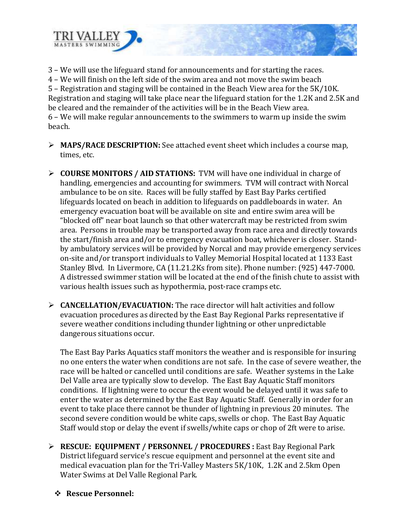

3 – We will use the lifeguard stand for announcements and for starting the races. 4 – We will finish on the left side of the swim area and not move the swim beach 5 – Registration and staging will be contained in the Beach View area for the 5K/10K. Registration and staging will take place near the lifeguard station for the 1.2K and 2.5K and be cleared and the remainder of the activities will be in the Beach View area. 6 – We will make regular announcements to the swimmers to warm up inside the swim beach.

- **MAPS/RACE DESCRIPTION:** See attached event sheet which includes a course map, times, etc.
- **COURSE MONITORS / AID STATIONS:** TVM will have one individual in charge of handling, emergencies and accounting for swimmers. TVM will contract with Norcal ambulance to be on site. Races will be fully staffed by East Bay Parks certified lifeguards located on beach in addition to lifeguards on paddleboards in water. An emergency evacuation boat will be available on site and entire swim area will be "blocked off" near boat launch so that other watercraft may be restricted from swim area. Persons in trouble may be transported away from race area and directly towards the start/finish area and/or to emergency evacuation boat, whichever is closer. Standby ambulatory services will be provided by Norcal and may provide emergency services on-site and/or transport individuals to Valley Memorial Hospital located at 1133 East Stanley Blvd. In Livermore, CA (11.21.2Ks from site). Phone number: (925) 447-7000. A distressed swimmer station will be located at the end of the finish chute to assist with various health issues such as hypothermia, post-race cramps etc.
- **CANCELLATION/EVACUATION:** The race director will halt activities and follow evacuation procedures as directed by the East Bay Regional Parks representative if severe weather conditions including thunder lightning or other unpredictable dangerous situations occur.

The East Bay Parks Aquatics staff monitors the weather and is responsible for insuring no one enters the water when conditions are not safe. In the case of severe weather, the race will be halted or cancelled until conditions are safe. Weather systems in the Lake Del Valle area are typically slow to develop. The East Bay Aquatic Staff monitors conditions. If lightning were to occur the event would be delayed until it was safe to enter the water as determined by the East Bay Aquatic Staff. Generally in order for an event to take place there cannot be thunder of lightning in previous 20 minutes. The second severe condition would be white caps, swells or chop. The East Bay Aquatic Staff would stop or delay the event if swells/white caps or chop of 2ft were to arise.

- **EXECUE: EQUIPMENT / PERSONNEL / PROCEDURES :** East Bay Regional Park District lifeguard service's rescue equipment and personnel at the event site and medical evacuation plan for the Tri-Valley Masters 5K/10K, 1.2K and 2.5km Open Water Swims at Del Valle Regional Park.
	- **Rescue Personnel:**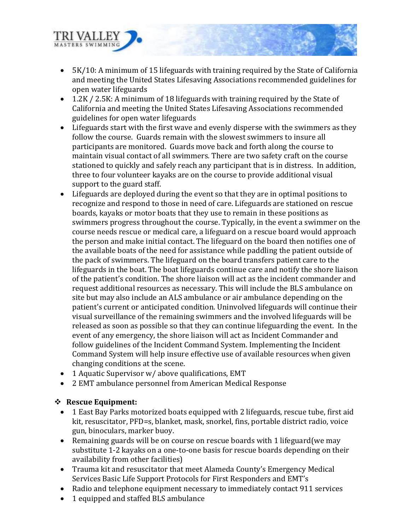

- 5K/10: A minimum of 15 lifeguards with training required by the State of California and meeting the United States Lifesaving Associations recommended guidelines for open water lifeguards
- 1.2K / 2.5K: A minimum of 18 lifeguards with training required by the State of California and meeting the United States Lifesaving Associations recommended guidelines for open water lifeguards
- Lifeguards start with the first wave and evenly disperse with the swimmers as they follow the course. Guards remain with the slowest swimmers to insure all participants are monitored. Guards move back and forth along the course to maintain visual contact of all swimmers. There are two safety craft on the course stationed to quickly and safely reach any participant that is in distress. In addition, three to four volunteer kayaks are on the course to provide additional visual support to the guard staff.
- Lifeguards are deployed during the event so that they are in optimal positions to recognize and respond to those in need of care. Lifeguards are stationed on rescue boards, kayaks or motor boats that they use to remain in these positions as swimmers progress throughout the course. Typically, in the event a swimmer on the course needs rescue or medical care, a lifeguard on a rescue board would approach the person and make initial contact. The lifeguard on the board then notifies one of the available boats of the need for assistance while paddling the patient outside of the pack of swimmers. The lifeguard on the board transfers patient care to the lifeguards in the boat. The boat lifeguards continue care and notify the shore liaison of the patient's condition. The shore liaison will act as the incident commander and request additional resources as necessary. This will include the BLS ambulance on site but may also include an ALS ambulance or air ambulance depending on the patient's current or anticipated condition. Uninvolved lifeguards will continue their visual surveillance of the remaining swimmers and the involved lifeguards will be released as soon as possible so that they can continue lifeguarding the event. In the event of any emergency, the shore liaison will act as Incident Commander and follow guidelines of the Incident Command System. Implementing the Incident Command System will help insure effective use of available resources when given changing conditions at the scene.
- 1 Aquatic Supervisor w/ above qualifications, EMT
- 2 EMT ambulance personnel from American Medical Response

### **Rescue Equipment:**

- 1 East Bay Parks motorized boats equipped with 2 lifeguards, rescue tube, first aid kit, resuscitator, PFD=s, blanket, mask, snorkel, fins, portable district radio, voice gun, binoculars, marker buoy.
- Remaining guards will be on course on rescue boards with 1 lifeguard (we may substitute 1-2 kayaks on a one-to-one basis for rescue boards depending on their availability from other facilities)
- Trauma kit and resuscitator that meet Alameda County's Emergency Medical Services Basic Life Support Protocols for First Responders and EMT's
- Radio and telephone equipment necessary to immediately contact 911 services
- 1 equipped and staffed BLS ambulance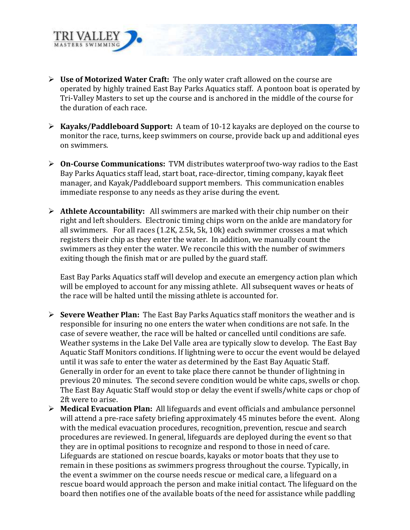

- **Use of Motorized Water Craft:** The only water craft allowed on the course are operated by highly trained East Bay Parks Aquatics staff. A pontoon boat is operated by Tri-Valley Masters to set up the course and is anchored in the middle of the course for the duration of each race.
- **Kayaks/Paddleboard Support:** A team of 10-12 kayaks are deployed on the course to monitor the race, turns, keep swimmers on course, provide back up and additional eyes on swimmers.
- **On-Course Communications:** TVM distributes waterproof two-way radios to the East Bay Parks Aquatics staff lead, start boat, race-director, timing company, kayak fleet manager, and Kayak/Paddleboard support members. This communication enables immediate response to any needs as they arise during the event.
- **Athlete Accountability:** All swimmers are marked with their chip number on their right and left shoulders. Electronic timing chips worn on the ankle are mandatory for all swimmers. For all races (1.2K, 2.5k, 5k, 10k) each swimmer crosses a mat which registers their chip as they enter the water. In addition, we manually count the swimmers as they enter the water. We reconcile this with the number of swimmers exiting though the finish mat or are pulled by the guard staff.

East Bay Parks Aquatics staff will develop and execute an emergency action plan which will be employed to account for any missing athlete. All subsequent waves or heats of the race will be halted until the missing athlete is accounted for.

- **Severe Weather Plan:** The East Bay Parks Aquatics staff monitors the weather and is responsible for insuring no one enters the water when conditions are not safe. In the case of severe weather, the race will be halted or cancelled until conditions are safe. Weather systems in the Lake Del Valle area are typically slow to develop. The East Bay Aquatic Staff Monitors conditions. If lightning were to occur the event would be delayed until it was safe to enter the water as determined by the East Bay Aquatic Staff. Generally in order for an event to take place there cannot be thunder of lightning in previous 20 minutes. The second severe condition would be white caps, swells or chop. The East Bay Aquatic Staff would stop or delay the event if swells/white caps or chop of 2ft were to arise.
- **Medical Evacuation Plan:** All lifeguards and event officials and ambulance personnel will attend a pre-race safety briefing approximately 45 minutes before the event. Along with the medical evacuation procedures, recognition, prevention, rescue and search procedures are reviewed. In general, lifeguards are deployed during the event so that they are in optimal positions to recognize and respond to those in need of care. Lifeguards are stationed on rescue boards, kayaks or motor boats that they use to remain in these positions as swimmers progress throughout the course. Typically, in the event a swimmer on the course needs rescue or medical care, a lifeguard on a rescue board would approach the person and make initial contact. The lifeguard on the board then notifies one of the available boats of the need for assistance while paddling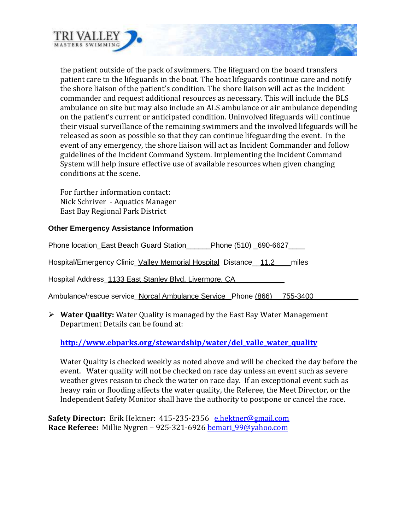

the patient outside of the pack of swimmers. The lifeguard on the board transfers patient care to the lifeguards in the boat. The boat lifeguards continue care and notify the shore liaison of the patient's condition. The shore liaison will act as the incident commander and request additional resources as necessary. This will include the BLS ambulance on site but may also include an ALS ambulance or air ambulance depending on the patient's current or anticipated condition. Uninvolved lifeguards will continue their visual surveillance of the remaining swimmers and the involved lifeguards will be released as soon as possible so that they can continue lifeguarding the event. In the event of any emergency, the shore liaison will act as Incident Commander and follow guidelines of the Incident Command System. Implementing the Incident Command System will help insure effective use of available resources when given changing conditions at the scene.

For further information contact: Nick Schriver - Aquatics Manager East Bay Regional Park District

#### **Other Emergency Assistance Information**

Phone location East Beach Guard Station Phone (510)  $690-6627$ 

Hospital/Emergency Clinic Valley Memorial Hospital Distance 11.2 miles

Hospital Address 1133 East Stanley Blvd, Livermore, CA

Ambulance/rescue service Norcal Ambulance Service Phone (866) 755-3400

 **Water Quality:** Water Quality is managed by the East Bay Water Management Department Details can be found at:

#### **[http://www.ebparks.org/stewardship/water/del\\_valle\\_water\\_quality](http://www.ebparks.org/stewardship/water/del_valle_water_quality)**

Water Quality is checked weekly as noted above and will be checked the day before the event. Water quality will not be checked on race day unless an event such as severe weather gives reason to check the water on race day. If an exceptional event such as heavy rain or flooding affects the water quality, the Referee, the Meet Director, or the Independent Safety Monitor shall have the authority to postpone or cancel the race.

**Safety Director:** Erik Hektner: 415-235-2356 [e.hektner@gmail.com](mailto:e.hektner@gmail.com) **Race Referee:** Millie Nygren – 925-321-6926 [bemari\\_99@yahoo.com](mailto:bemari_99@yahoo.com)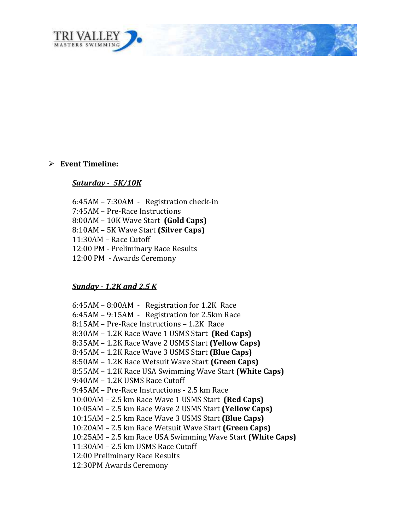

#### **Event Timeline:**

#### *Saturday - 5K/10K*

6:45AM – 7:30AM - Registration check-in

- 7:45AM Pre-Race Instructions
- 8:00AM 10K Wave Start **(Gold Caps)**
- 8:10AM 5K Wave Start **(Silver Caps)**
- 11:30AM Race Cutoff
- 12:00 PM Preliminary Race Results
- 12:00 PM Awards Ceremony

#### *Sunday - 1.2K and 2.5 K*

6:45AM – 8:00AM - Registration for 1.2K Race 6:45AM – 9:15AM - Registration for 2.5km Race 8:15AM – Pre-Race Instructions – 1.2K Race 8:30AM – 1.2K Race Wave 1 USMS Start **(Red Caps)** 8:35AM – 1.2K Race Wave 2 USMS Start **(Yellow Caps)** 8:45AM – 1.2K Race Wave 3 USMS Start **(Blue Caps)** 8:50AM – 1.2K Race Wetsuit Wave Start **(Green Caps)** 8:55AM – 1.2K Race USA Swimming Wave Start **(White Caps)** 9:40AM – 1.2K USMS Race Cutoff 9:45AM – Pre-Race Instructions - 2.5 km Race 10:00AM – 2.5 km Race Wave 1 USMS Start **(Red Caps)** 10:05AM – 2.5 km Race Wave 2 USMS Start **(Yellow Caps)** 10:15AM – 2.5 km Race Wave 3 USMS Start **(Blue Caps)** 10:20AM – 2.5 km Race Wetsuit Wave Start **(Green Caps)** 10:25AM – 2.5 km Race USA Swimming Wave Start **(White Caps)** 11:30AM – 2.5 km USMS Race Cutoff 12:00 Preliminary Race Results 12:30PM Awards Ceremony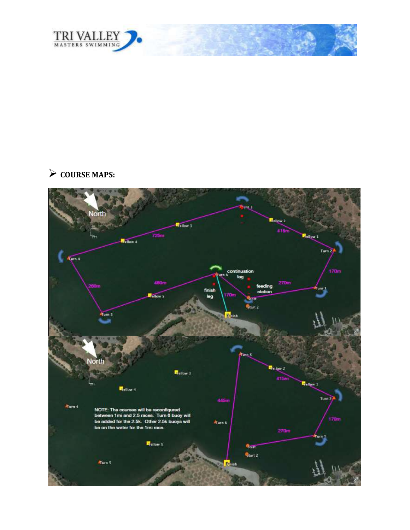

# **COURSE MAPS:**